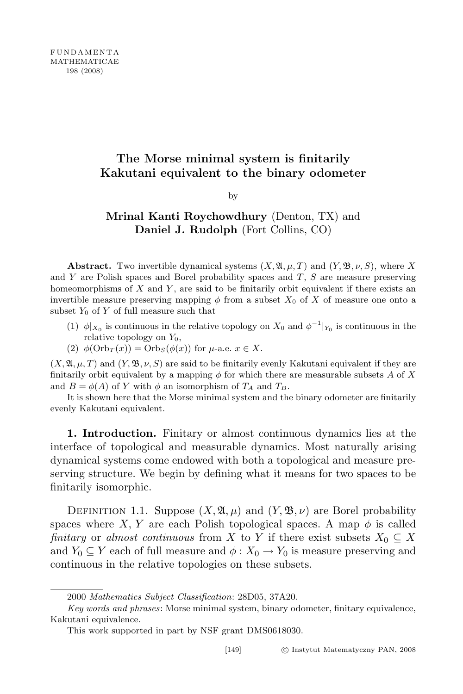## The Morse minimal system is finitarily Kakutani equivalent to the binary odometer

by

## Mrinal Kanti Roychowdhury (Denton, TX) and Daniel J. Rudolph (Fort Collins, CO)

**Abstract.** Two invertible dynamical systems  $(X, \mathfrak{A}, \mu, T)$  and  $(Y, \mathfrak{B}, \nu, S)$ , where X and  $Y$  are Polish spaces and Borel probability spaces and  $T$ ,  $S$  are measure preserving homeomorphisms of  $X$  and  $Y$ , are said to be finitarily orbit equivalent if there exists an invertible measure preserving mapping  $\phi$  from a subset  $X_0$  of X of measure one onto a subset  $Y_0$  of Y of full measure such that

- (1)  $\phi|_{X_0}$  is continuous in the relative topology on  $X_0$  and  $\phi^{-1}|_{Y_0}$  is continuous in the relative topology on  $Y_0$ ,
- (2)  $\phi(\text{Orb}_T(x)) = \text{Orb}_S(\phi(x))$  for  $\mu$ -a.e.  $x \in X$ .

 $(X, \mathfrak{A}, \mu, T)$  and  $(Y, \mathfrak{B}, \nu, S)$  are said to be finitarily evenly Kakutani equivalent if they are finitarily orbit equivalent by a mapping  $\phi$  for which there are measurable subsets A of X and  $B = \phi(A)$  of Y with  $\phi$  an isomorphism of  $T_A$  and  $T_B$ .

It is shown here that the Morse minimal system and the binary odometer are finitarily evenly Kakutani equivalent.

1. Introduction. Finitary or almost continuous dynamics lies at the interface of topological and measurable dynamics. Most naturally arising dynamical systems come endowed with both a topological and measure preserving structure. We begin by defining what it means for two spaces to be finitarily isomorphic.

DEFINITION 1.1. Suppose  $(X, \mathfrak{A}, \mu)$  and  $(Y, \mathfrak{B}, \nu)$  are Borel probability spaces where X, Y are each Polish topological spaces. A map  $\phi$  is called finitary or almost continuous from X to Y if there exist subsets  $X_0 \subseteq X$ and  $Y_0 \subseteq Y$  each of full measure and  $\phi: X_0 \to Y_0$  is measure preserving and continuous in the relative topologies on these subsets.

<sup>2000</sup> Mathematics Subject Classification: 28D05, 37A20.

Key words and phrases: Morse minimal system, binary odometer, finitary equivalence, Kakutani equivalence.

This work supported in part by NSF grant DMS0618030.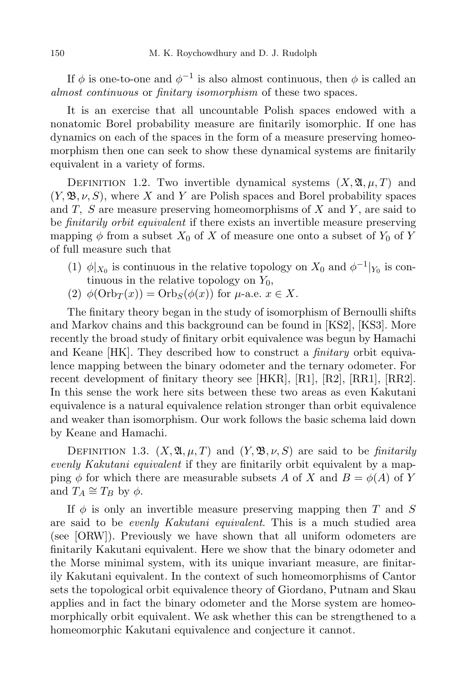If  $\phi$  is one-to-one and  $\phi^{-1}$  is also almost continuous, then  $\phi$  is called an almost continuous or finitary isomorphism of these two spaces.

It is an exercise that all uncountable Polish spaces endowed with a nonatomic Borel probability measure are finitarily isomorphic. If one has dynamics on each of the spaces in the form of a measure preserving homeomorphism then one can seek to show these dynamical systems are finitarily equivalent in a variety of forms.

DEFINITION 1.2. Two invertible dynamical systems  $(X, \mathfrak{A}, \mu, T)$  and  $(Y, \mathfrak{B}, \nu, S)$ , where X and Y are Polish spaces and Borel probability spaces and  $T$ ,  $S$  are measure preserving homeomorphisms of  $X$  and  $Y$ , are said to be finitarily orbit equivalent if there exists an invertible measure preserving mapping  $\phi$  from a subset  $X_0$  of X of measure one onto a subset of  $Y_0$  of Y of full measure such that

- (1)  $\phi|_{X_0}$  is continuous in the relative topology on  $X_0$  and  $\phi^{-1}|_{Y_0}$  is continuous in the relative topology on  $Y_0$ ,
- (2)  $\phi(\text{Orb}_T(x)) = \text{Orb}_S(\phi(x))$  for  $\mu$ -a.e.  $x \in X$ .

The finitary theory began in the study of isomorphism of Bernoulli shifts and Markov chains and this background can be found in [KS2], [KS3]. More recently the broad study of finitary orbit equivalence was begun by Hamachi and Keane [HK]. They described how to construct a *finitary* orbit equivalence mapping between the binary odometer and the ternary odometer. For recent development of finitary theory see  $[HKR]$ ,  $[R1]$ ,  $[R2]$ ,  $[RR1]$ ,  $[RR2]$ . In this sense the work here sits between these two areas as even Kakutani equivalence is a natural equivalence relation stronger than orbit equivalence and weaker than isomorphism. Our work follows the basic schema laid down by Keane and Hamachi.

DEFINITION 1.3.  $(X, \mathfrak{A}, \mu, T)$  and  $(Y, \mathfrak{B}, \nu, S)$  are said to be *finitarily* evenly Kakutani equivalent if they are finitarily orbit equivalent by a mapping  $\phi$  for which there are measurable subsets A of X and  $B = \phi(A)$  of Y and  $T_A \cong T_B$  by  $\phi$ .

If  $\phi$  is only an invertible measure preserving mapping then T and S are said to be *evenly Kakutani equivalent*. This is a much studied area (see [ORW]). Previously we have shown that all uniform odometers are finitarily Kakutani equivalent. Here we show that the binary odometer and the Morse minimal system, with its unique invariant measure, are finitarily Kakutani equivalent. In the context of such homeomorphisms of Cantor sets the topological orbit equivalence theory of Giordano, Putnam and Skau applies and in fact the binary odometer and the Morse system are homeomorphically orbit equivalent. We ask whether this can be strengthened to a homeomorphic Kakutani equivalence and conjecture it cannot.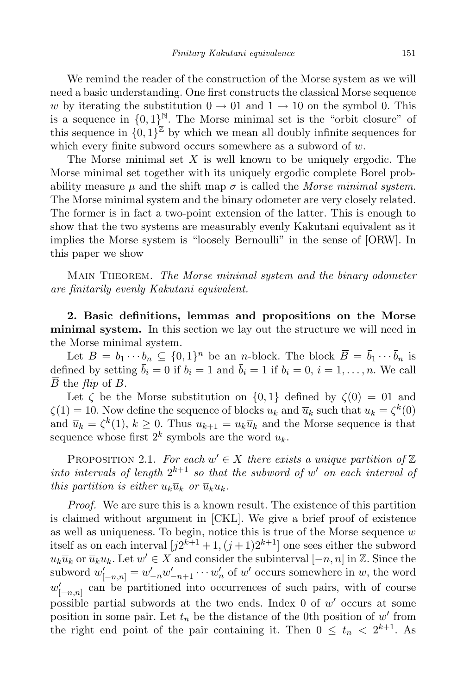We remind the reader of the construction of the Morse system as we will need a basic understanding. One first constructs the classical Morse sequence w by iterating the substitution  $0 \rightarrow 01$  and  $1 \rightarrow 10$  on the symbol 0. This is a sequence in  $\{0,1\}^{\mathbb{N}}$ . The Morse minimal set is the "orbit closure" of this sequence in  $\{0,1\}^{\mathbb{Z}}$  by which we mean all doubly infinite sequences for which every finite subword occurs somewhere as a subword of  $w$ .

The Morse minimal set  $X$  is well known to be uniquely ergodic. The Morse minimal set together with its uniquely ergodic complete Borel probability measure  $\mu$  and the shift map  $\sigma$  is called the Morse minimal system. The Morse minimal system and the binary odometer are very closely related. The former is in fact a two-point extension of the latter. This is enough to show that the two systems are measurably evenly Kakutani equivalent as it implies the Morse system is "loosely Bernoulli" in the sense of [ORW]. In this paper we show

MAIN THEOREM. The Morse minimal system and the binary odometer are finitarily evenly Kakutani equivalent.

2. Basic definitions, lemmas and propositions on the Morse minimal system. In this section we lay out the structure we will need in the Morse minimal system.

Let  $B = b_1 \cdots b_n \subseteq \{0,1\}^n$  be an *n*-block. The block  $\overline{B} = \overline{b}_1 \cdots \overline{b}_n$  is defined by setting  $\bar{b}_i = 0$  if  $b_i = 1$  and  $\bar{b}_i = 1$  if  $b_i = 0, i = 1, \ldots, n$ . We call  $\overline{B}$  the *flip* of *B*.

Let  $\zeta$  be the Morse substitution on  $\{0,1\}$  defined by  $\zeta(0) = 01$  and  $\zeta(1) = 10$ . Now define the sequence of blocks  $u_k$  and  $\overline{u}_k$  such that  $u_k = \zeta^k(0)$ and  $\overline{u}_k = \zeta^k(1)$ ,  $k \geq 0$ . Thus  $u_{k+1} = u_k \overline{u}_k$  and the Morse sequence is that sequence whose first  $2^k$  symbols are the word  $u_k$ .

PROPOSITION 2.1. For each  $w' \in X$  there exists a unique partition of  $\mathbb Z$ into intervals of length  $2^{k+1}$  so that the subword of w' on each interval of this partition is either  $u_k\overline{u}_k$  or  $\overline{u}_ku_k$ .

*Proof.* We are sure this is a known result. The existence of this partition is claimed without argument in [CKL]. We give a brief proof of existence as well as uniqueness. To begin, notice this is true of the Morse sequence  $w$ itself as on each interval  $[j2^{k+1}+1,(j+1)2^{k+1}]$  one sees either the subword  $u_k\overline{u}_k$  or  $\overline{u}_ku_k$ . Let  $w' \in X$  and consider the subinterval  $[-n, n]$  in  $\mathbb{Z}$ . Since the subword  $w'_{[-n,n]} = w'_{-n}w'_{-n+1}\cdots w'_n$  of  $w'$  occurs somewhere in  $w$ , the word  $w'_{[-n,n]}$  can be partitioned into occurrences of such pairs, with of course possible partial subwords at the two ends. Index  $0$  of  $w'$  occurs at some position in some pair. Let  $t_n$  be the distance of the 0th position of  $w'$  from the right end point of the pair containing it. Then  $0 \leq t_n < 2^{k+1}$ . As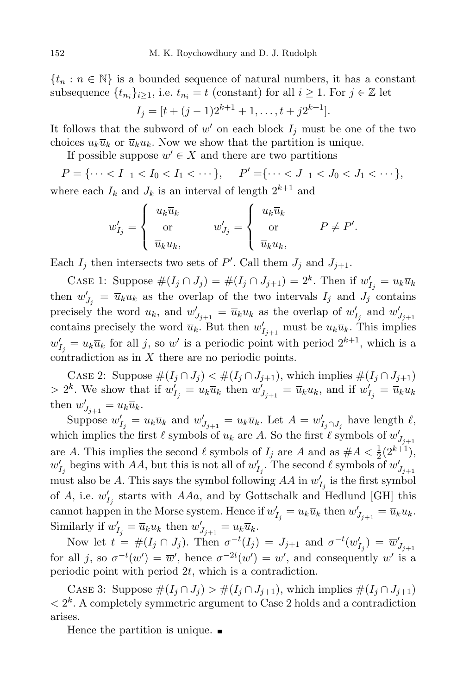$\{t_n : n \in \mathbb{N}\}\$ is a bounded sequence of natural numbers, it has a constant subsequence  $\{t_{n_i}\}_{i\geq 1}$ , i.e.  $t_{n_i} = t$  (constant) for all  $i \geq 1$ . For  $j \in \mathbb{Z}$  let

$$
I_j = [t + (j-1)2^{k+1} + 1, \dots, t + j2^{k+1}].
$$

It follows that the subword of  $w'$  on each block  $I_j$  must be one of the two choices  $u_k \overline{u}_k$  or  $\overline{u}_k u_k$ . Now we show that the partition is unique.

If possible suppose  $w' \in X$  and there are two partitions

$$
P = \{\dots < I_{-1} < I_0 < I_1 < \dots\}, \qquad P' = \{\dots < J_{-1} < J_0 < J_1 < \dots\},
$$

where each  $I_k$  and  $J_k$  is an interval of length  $2^{k+1}$  and

$$
w'_{I_j} = \begin{cases} u_k \overline{u}_k \\ \text{or} \\ \overline{u}_k u_k, \end{cases} \qquad w'_{J_j} = \begin{cases} u_k \overline{u}_k \\ \text{or} \\ \overline{u}_k u_k, \end{cases} \qquad P \neq P'.
$$

Each  $I_j$  then intersects two sets of P'. Call them  $J_j$  and  $J_{j+1}$ .

CASE 1: Suppose  $\#(I_j \cap J_j) = \#(I_j \cap J_{j+1}) = 2^k$ . Then if  $w'_{I_j} = u_k \overline{u}_k$ then  $w'_{J_j} = \overline{u}_k u_k$  as the overlap of the two intervals  $I_j$  and  $J_j$  contains precisely the word  $u_k$ , and  $w'_{J_{j+1}} = \overline{u}_k u_k$  as the overlap of  $w'_{I_j}$  and  $w'_{J_{j+1}}$ contains precisely the word  $\overline{u}_k$ . But then  $w'_{I_{j+1}}$  must be  $u_k\overline{u}_k$ . This implies  $w'_{I_j} = u_k \overline{u}_k$  for all j, so w' is a periodic point with period  $2^{k+1}$ , which is a contradiction as in  $X$  there are no periodic points.

CASE 2: Suppose  $\#(I_j \cap J_j) < \#(I_j \cap J_{j+1})$ , which implies  $\#(I_j \cap J_{j+1})$ >  $2^k$ . We show that if  $w'_{I_j} = u_k \overline{u}_k$  then  $w'_{J_{j+1}} = \overline{u}_k u_k$ , and if  $w'_{I_j} = \overline{u}_k u_k$ then  $w'_{J_{j+1}} = u_k \overline{u}_k$ .

Suppose  $w'_{I_j} = u_k \overline{u}_k$  and  $w'_{J_{j+1}} = u_k \overline{u}_k$ . Let  $A = w'_{I_j \cap J_j}$  have length  $\ell$ , which implies the first  $\ell$  symbols of  $u_k$  are A. So the first  $\ell$  symbols of  $w'_{J_{j+1}}$ are A. This implies the second  $\ell$  symbols of  $I_j$  are A and as  $\#A < \frac{1}{2}(2^{k+1}),$  $w'_{I_j}$  begins with AA, but this is not all of  $w'_{I_j}$ . The second  $\ell$  symbols of  $w'_{J_{j+1}}$ must also be A. This says the symbol following  $AA$  in  $w'_{I_j}$  is the first symbol of A, i.e.  $w'_{I_j}$  starts with AAa, and by Gottschalk and Hedlund [GH] this cannot happen in the Morse system. Hence if  $w'_{I_j} = u_k \overline{u}_k$  then  $w'_{J_{j+1}} = \overline{u}_k u_k$ . Similarly if  $w'_{I_j} = \overline{u}_k u_k$  then  $w'_{J_{j+1}} = u_k \overline{u}_k$ .

Now let  $t = #(I_j \cap J_j)$ . Then  $\sigma^{-t}(I_j) = J_{j+1}$  and  $\sigma^{-t}(w'_{I_j}) = \overline{w}'_{J_{j+1}}$ for all j, so  $\sigma^{-t}(w') = \overline{w}'$ , hence  $\sigma^{-2t}(w') = w'$ , and consequently w' is a periodic point with period  $2t$ , which is a contradiction.

CASE 3: Suppose  $\#(I_i \cap J_j) > \#(I_j \cap J_{j+1}),$  which implies  $\#(I_j \cap J_{j+1})$  $\langle 2^k. A \text{ completely symmetric argument to Case 2 holds and a contradiction}$ arises.

Hence the partition is unique.  $\blacksquare$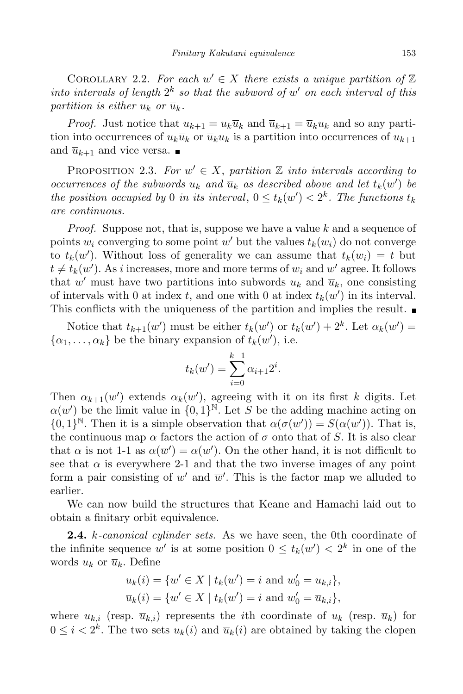COROLLARY 2.2. For each  $w' \in X$  there exists a unique partition of  $\mathbb Z$ into intervals of length  $2^k$  so that the subword of w' on each interval of this partition is either  $u_k$  or  $\overline{u}_k$ .

*Proof.* Just notice that  $u_{k+1} = u_k \overline{u}_k$  and  $\overline{u}_{k+1} = \overline{u}_k u_k$  and so any partition into occurrences of  $u_k \overline{u}_k$  or  $\overline{u}_k u_k$  is a partition into occurrences of  $u_{k+1}$ and  $\overline{u}_{k+1}$  and vice versa.

PROPOSITION 2.3. For  $w' \in X$ , partition  $\mathbb Z$  into intervals according to occurrences of the subwords  $u_k$  and  $\overline{u}_k$  as described above and let  $t_k(w')$  be the position occupied by 0 in its interval,  $0 \le t_k(w') < 2^k$ . The functions  $t_k$ are continuous.

*Proof.* Suppose not, that is, suppose we have a value  $k$  and a sequence of points  $w_i$  converging to some point  $w'$  but the values  $t_k(w_i)$  do not converge to  $t_k(w')$ . Without loss of generality we can assume that  $t_k(w_i) = t$  but  $t \neq t_k(w')$ . As i increases, more and more terms of  $w_i$  and  $w'$  agree. It follows that  $w'$  must have two partitions into subwords  $u_k$  and  $\overline{u}_k$ , one consisting of intervals with 0 at index t, and one with 0 at index  $t_k(w')$  in its interval. This conflicts with the uniqueness of the partition and implies the result.  $\blacksquare$ 

Notice that  $t_{k+1}(w')$  must be either  $t_k(w')$  or  $t_k(w') + 2^k$ . Let  $\alpha_k(w') =$  $\{\alpha_1, \ldots, \alpha_k\}$  be the binary expansion of  $t_k(w')$ , i.e.

$$
t_k(w') = \sum_{i=0}^{k-1} \alpha_{i+1} 2^i.
$$

Then  $\alpha_{k+1}(w')$  extends  $\alpha_k(w')$ , agreeing with it on its first k digits. Let  $\alpha(w')$  be the limit value in  $\{0,1\}^{\mathbb{N}}$ . Let S be the adding machine acting on  ${0,1}^{\mathbb{N}}$ . Then it is a simple observation that  $\alpha(\sigma(w')) = S(\alpha(w'))$ . That is, the continuous map  $\alpha$  factors the action of  $\sigma$  onto that of S. It is also clear that  $\alpha$  is not 1-1 as  $\alpha(\overline{w}') = \alpha(w')$ . On the other hand, it is not difficult to see that  $\alpha$  is everywhere 2-1 and that the two inverse images of any point form a pair consisting of  $w'$  and  $\overline{w}'$ . This is the factor map we alluded to earlier.

We can now build the structures that Keane and Hamachi laid out to obtain a finitary orbit equivalence.

**2.4.** *k*-canonical cylinder sets. As we have seen, the 0th coordinate of the infinite sequence w' is at some position  $0 \leq t_k(w') < 2^k$  in one of the words  $u_k$  or  $\overline{u}_k$ . Define

$$
u_k(i) = \{w' \in X \mid t_k(w') = i \text{ and } w'_0 = u_{k,i}\},\
$$
  

$$
\overline{u}_k(i) = \{w' \in X \mid t_k(w') = i \text{ and } w'_0 = \overline{u}_{k,i}\},\
$$

where  $u_{k,i}$  (resp.  $\overline{u}_{k,i}$ ) represents the *i*th coordinate of  $u_k$  (resp.  $\overline{u}_k$ ) for  $0 \leq i < 2^k$ . The two sets  $u_k(i)$  and  $\overline{u}_k(i)$  are obtained by taking the clopen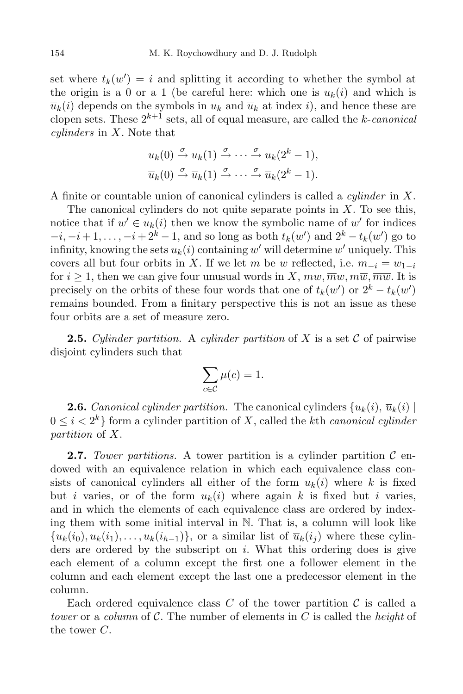set where  $t_k(w') = i$  and splitting it according to whether the symbol at the origin is a 0 or a 1 (be careful here: which one is  $u_k(i)$  and which is  $\overline{u}_k(i)$  depends on the symbols in  $u_k$  and  $\overline{u}_k$  at index i), and hence these are clopen sets. These  $2^{k+1}$  sets, all of equal measure, are called the k-canonical  $cylinders$  in  $X$ . Note that

$$
u_k(0) \stackrel{\sigma}{\rightarrow} u_k(1) \stackrel{\sigma}{\rightarrow} \cdots \stackrel{\sigma}{\rightarrow} u_k(2^k - 1),
$$
  

$$
\overline{u}_k(0) \stackrel{\sigma}{\rightarrow} \overline{u}_k(1) \stackrel{\sigma}{\rightarrow} \cdots \stackrel{\sigma}{\rightarrow} \overline{u}_k(2^k - 1).
$$

A finite or countable union of canonical cylinders is called a cylinder in X.

The canonical cylinders do not quite separate points in  $X$ . To see this, notice that if  $w' \in u_k(i)$  then we know the symbolic name of  $w'$  for indices  $-i, -i+1, \ldots, -i+2^k-1$ , and so long as both  $t_k(w')$  and  $2^k - t_k(w')$  go to infinity, knowing the sets  $u_k(i)$  containing  $w'$  will determine  $w'$  uniquely. This covers all but four orbits in X. If we let m be w reflected, i.e.  $m_{-i} = w_{1-i}$ for  $i \geq 1$ , then we can give four unusual words in X,  $mw, \overline{mw}, m\overline{w}, \overline{mw}$ . It is precisely on the orbits of these four words that one of  $t_k(w')$  or  $2^k - t_k(w')$ remains bounded. From a finitary perspective this is not an issue as these four orbits are a set of measure zero.

**2.5.** Cylinder partition. A cylinder partition of X is a set C of pairwise disjoint cylinders such that

$$
\sum_{c \in \mathcal{C}} \mu(c) = 1.
$$

**2.6.** Canonical cylinder partition. The canonical cylinders  $\{u_k(i), \overline{u}_k(i)\}\$  $0 \leq i < 2^k$  form a cylinder partition of X, called the kth *canonical cylinder* partition of X.

**2.7.** Tower partitions. A tower partition is a cylinder partition  $\mathcal{C}$  endowed with an equivalence relation in which each equivalence class consists of canonical cylinders all either of the form  $u_k(i)$  where k is fixed but *i* varies, or of the form  $\overline{u}_k(i)$  where again *k* is fixed but *i* varies, and in which the elements of each equivalence class are ordered by indexing them with some initial interval in N. That is, a column will look like  ${u_k(i_0), u_k(i_1), \ldots, u_k(i_{h-1})\}$ , or a similar list of  $\overline{u}_k(i_i)$  where these cylinders are ordered by the subscript on  $i$ . What this ordering does is give each element of a column except the first one a follower element in the column and each element except the last one a predecessor element in the column.

Each ordered equivalence class  $C$  of the tower partition  $C$  is called a tower or a column of C. The number of elements in C is called the height of the tower C.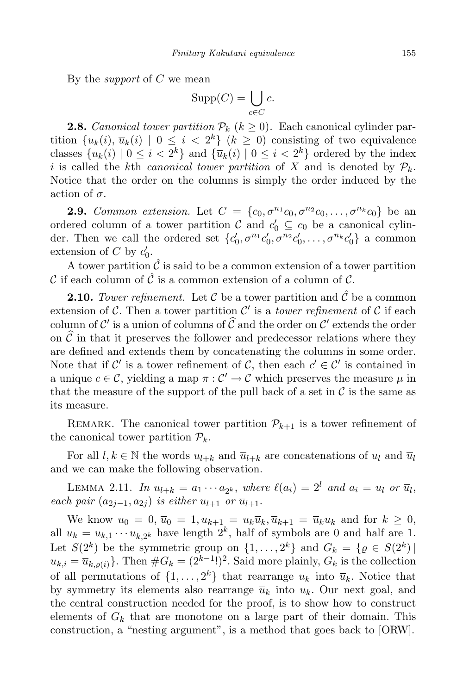By the *support* of  $C$  we mean

$$
\operatorname{Supp}(C) = \bigcup_{c \in C} c.
$$

**2.8.** Canonical tower partition  $\mathcal{P}_k$  ( $k \geq 0$ ). Each canonical cylinder partition  $\{u_k(i), \overline{u}_k(i) \mid 0 \leq i < 2^k\}$   $(k \geq 0)$  consisting of two equivalence classes  $\{u_k(i) \mid 0 \leq i < 2^k\}$  and  $\{\overline{u}_k(i) \mid 0 \leq i < 2^k\}$  ordered by the index i is called the kth canonical tower partition of X and is denoted by  $\mathcal{P}_k$ . Notice that the order on the columns is simply the order induced by the action of  $\sigma$ .

**2.9.** Common extension. Let  $C = \{c_0, \sigma^{n_1}c_0, \sigma^{n_2}c_0, \ldots, \sigma^{n_k}c_0\}$  be an ordered column of a tower partition  $C$  and  $c'_0 \subseteq c_0$  be a canonical cylinder. Then we call the ordered set  $\{c'_0, \sigma^{n_1}c'_0, \sigma^{n_2}c'_0, \ldots, \sigma^{n_k}c'_0\}$  a common extension of C by  $c'_0$ .

A tower partition  $\hat{\mathcal{C}}$  is said to be a common extension of a tower partition C if each column of  $\hat{C}$  is a common extension of a column of C.

**2.10.** Tower refinement. Let C be a tower partition and  $\hat{\mathcal{C}}$  be a common extension of C. Then a tower partition  $\mathcal{C}'$  is a *tower refinement* of C if each column of  $\mathcal{C}'$  is a union of columns of  $\widehat{\mathcal{C}}$  and the order on  $\mathcal{C}'$  extends the order on  $\hat{\mathcal{C}}$  in that it preserves the follower and predecessor relations where they are defined and extends them by concatenating the columns in some order. Note that if C' is a tower refinement of C, then each  $c' \in \mathcal{C}'$  is contained in a unique  $c \in \mathcal{C}$ , yielding a map  $\pi : \mathcal{C}' \to \mathcal{C}$  which preserves the measure  $\mu$  in that the measure of the support of the pull back of a set in  $\mathcal C$  is the same as its measure.

REMARK. The canonical tower partition  $\mathcal{P}_{k+1}$  is a tower refinement of the canonical tower partition  $\mathcal{P}_k$ .

For all  $l, k \in \mathbb{N}$  the words  $u_{l+k}$  and  $\overline{u}_{l+k}$  are concatenations of  $u_l$  and  $\overline{u}_l$ and we can make the following observation.

LEMMA 2.11. In  $u_{l+k} = a_1 \cdots a_{2^k}$ , where  $\ell(a_i) = 2^l$  and  $a_i = u_l$  or  $\overline{u}_l$ , each pair  $(a_{2i-1}, a_{2i})$  is either  $u_{l+1}$  or  $\overline{u}_{l+1}$ .

We know  $u_0 = 0$ ,  $\overline{u}_0 = 1$ ,  $u_{k+1} = u_k \overline{u}_k$ ,  $\overline{u}_{k+1} = \overline{u}_k u_k$  and for  $k \geq 0$ , all  $u_k = u_{k,1} \cdots u_{k,2^k}$  have length  $2^k$ , half of symbols are 0 and half are 1. Let  $S(2^k)$  be the symmetric group on  $\{1, \ldots, 2^k\}$  and  $G_k = \{ \varrho \in S(2^k) \mid \varrho$  $u_{k,i} = \overline{u}_{k,\varrho(i)}$ . Then  $\#G_k = (2^{k-1})^2$ . Said more plainly,  $G_k$  is the collection of all permutations of  $\{1, \ldots, 2^k\}$  that rearrange  $u_k$  into  $\overline{u}_k$ . Notice that by symmetry its elements also rearrange  $\overline{u}_k$  into  $u_k$ . Our next goal, and the central construction needed for the proof, is to show how to construct elements of  $G_k$  that are monotone on a large part of their domain. This construction, a "nesting argument", is a method that goes back to [ORW].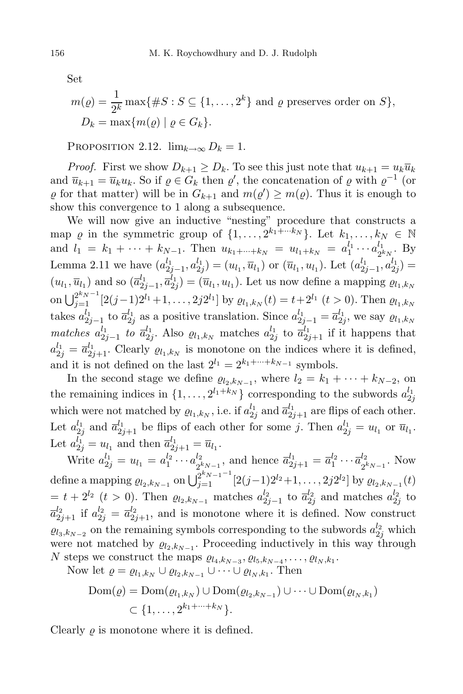Set

$$
m(\varrho) = \frac{1}{2^k} \max\{\#S : S \subseteq \{1, \dots, 2^k\} \text{ and } \varrho \text{ preserves order on } S\},
$$
  

$$
D_k = \max\{m(\varrho) \mid \varrho \in G_k\}.
$$

PROPOSITION 2.12.  $\lim_{k\to\infty} D_k = 1$ .

*Proof.* First we show  $D_{k+1} \geq D_k$ . To see this just note that  $u_{k+1} = u_k \overline{u}_k$ and  $\overline{u}_{k+1} = \overline{u}_k u_k$ . So if  $\varrho \in G_k$  then  $\varrho'$ , the concatenation of  $\varrho$  with  $\varrho^{-1}$  (or  $\varrho$  for that matter) will be in  $G_{k+1}$  and  $m(\varrho') \geq m(\varrho)$ . Thus it is enough to show this convergence to 1 along a subsequence.

We will now give an inductive "nesting" procedure that constructs a map  $\varrho$  in the symmetric group of  $\{1, \ldots, 2^{k_1 + \cdots k_N}\}\.$  Let  $k_1, \ldots, k_N \in \mathbb{N}$ and  $l_1 = k_1 + \cdots + k_{N-1}$ . Then  $u_{k_1 + \cdots + k_N} = u_{l_1 + k_N} = a_1^{l_1} \cdots a_{2^l}^{l_1}$ 2  $_{k_{N}}^{1}$ . By Lemma 2.11 we have  $(a_{2j-1}^{l_1}, a_{2j}^{l_1}) = (u_{l_1}, \overline{u}_{l_1})$  or  $(\overline{u}_{l_1}, u_{l_1})$ . Let  $(a_{2j-1}^{l_1}, a_{2j}^{l_1}) =$  $(u_{l_1}, \overline{u}_{l_1})$  and so  $(\overline{a}_{2}^{l_1})$  $\frac{l_1}{2j-1},\overline{a}_{2j}^{l_1}$  $\left( \overline{u}_{l_1}, u_{l_1} \right)$ . Let us now define a mapping  $\varrho_{l_1, k_N}$ on  $\bigcup_{j=1}^{2^{k_N-1}} [2(j-1)2^{l_1}+1,\ldots,2j2^{l_1}]$  by  $\varrho_{l_1,k_N}(t) = t+2^{l_1}$   $(t > 0)$ . Then  $\varrho_{l_1,k_N}$  $\text{takes } a_2^{l_1}$  $_{2j-1}^{l_1}$  to  $\overline{a}_{2j}^{l_1}$  $a_{2j}^{l_1}$  as a positive translation. Since  $a_{2j-1}^{l_1} = \overline{a}_{2j}^{l_1}$  $\ell_2^{l_1}$ , we say  $\varrho_{l_1,k_N}$ matches  $a_2^{l_1}$  $_{2j-1}^{l_1}$  to  $\overline{a}_{2j}^{l_1}$  $\frac{l_1}{2j}$ . Also  $\varrho_{l_1,k_N}$  matches  $a_{2j}^{l_1}$  $\frac{l_1}{2j}$  to  $\overline{a}_{2j+1}^{l_1}$  if it happens that  $a_{2j}^{l_1} = \overline{a}_{2j+1}^{l_1}$ . Clearly  $\varrho_{l_1,k_N}$  is monotone on the indices where it is defined, and it is not defined on the last  $2^{l_1} = 2^{k_1 + \dots + k_{N-1}}$  symbols.

In the second stage we define  $\varrho_{l_2,k_{N-1}}$ , where  $l_2 = k_1 + \cdots + k_{N-2}$ , on the remaining indices in  $\{1, \ldots, 2^{l_1+k_N}\}\)$  corresponding to the subwords  $a_2^{l_1}$  $_{2j}$ which were not matched by  $\varrho_{l_1,k_N}$ , i.e. if  $a_{2}^{l_1}$  $\frac{l_1}{2j}$  and  $\overline{a}_{2j+1}^{l_1}$  are flips of each other. Let  $a_{2}^{l_1}$  $a_{2j}^{l_1}$  and  $\overline{a}_{2j+1}^{l_1}$  be flips of each other for some j. Then  $a_{2j}^{l_1} = u_{l_1}$  or  $\overline{u}_{l_1}$ . Let  $a_{2j}^{l_1} = u_{l_1}$  and then  $\overline{a}_{2j+1}^{l_1} = \overline{u}_{l_1}$ .

Write  $a_{2j}^{l_1} = u_{l_1} = a_1^{l_2} \cdots a_{2j}^{l_2}$  $2^{k}N-1$  2  $\bar{a}_{k_{N-1}}^l$ , and hence  $\bar{a}_{2j+1}^{l_1} = \bar{a}_1^{l_2} \cdots \bar{a}_{2^l}^{l_2}$  $\frac{2}{k_{N-1}}$ . Now define a mapping  $\varrho_{l_2, k_{N-1}}$  on  $\bigcup_{j=1}^{2^{k_{N-1}-1}} [2(j-1)2^{l_2}+1, \ldots, 2j2^{l_2}]$  by  $\varrho_{l_2, k_{N-1}}(t)$  $t = t + 2^{l_2}$  ( $t > 0$ ). Then  $\varrho_{l_2, k_{N-1}}$  matches  $a_{2j-1}^{l_2}$  to  $\overline{a}_{2j}^{l_2}$  and matches  $a_{2j}^{l_2}$  to  $\bar{a}_{2j+1}^{l_2}$  if  $a_{2j}^{l_2} = \bar{a}_{2j+1}^{l_2}$ , and is monotone where it is defined. Now construct  $\varrho_{l_3,k_{N-2}}$  on the remaining symbols corresponding to the subwords  $a_{2j}^{l_2}$  which were not matched by  $\varrho_{l_2,k_{N-1}}$ . Proceeding inductively in this way through N steps we construct the maps  $\varrho_{l_4,k_{N-3}}, \varrho_{l_5,k_{N-4}}, \ldots, \varrho_{l_N,k_1}.$ 

Now let  $\varrho = \varrho_{l_1,k_N} \cup \varrho_{l_2,k_{N-1}} \cup \cdots \cup \varrho_{l_N,k_1}$ . Then

$$
Dom(\varrho) = Dom(\varrho_{l_1,k_N}) \cup Dom(\varrho_{l_2,k_{N-1}}) \cup \cdots \cup Dom(\varrho_{l_N,k_1})
$$
  

$$
\subset \{1, \ldots, 2^{k_1 + \cdots + k_N}\}.
$$

Clearly  $\rho$  is monotone where it is defined.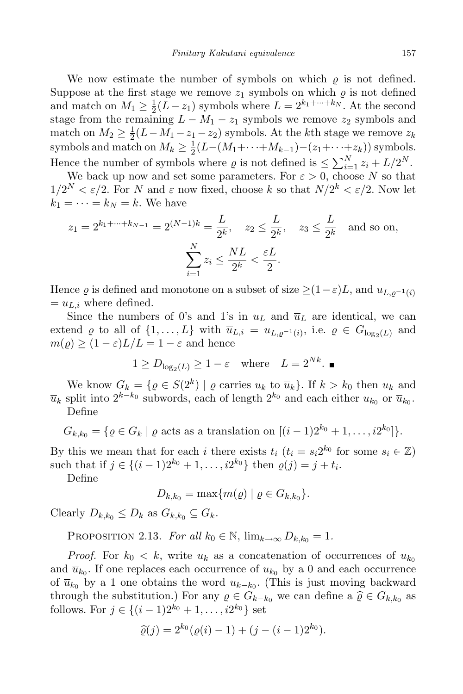We now estimate the number of symbols on which  $\rho$  is not defined. Suppose at the first stage we remove  $z_1$  symbols on which  $\varrho$  is not defined and match on  $M_1 \geq \frac{1}{2}$  $\frac{1}{2}(L-z_1)$  symbols where  $L=2^{k_1+\cdots+k_N}$ . At the second stage from the remaining  $L - M_1 - z_1$  symbols we remove  $z_2$  symbols and match on  $M_2 \geq \frac{1}{2}$  $\frac{1}{2}(L-M_1-z_1-z_2)$  symbols. At the *k*th stage we remove  $z_k$ symbols and match on  $M_k \geq \frac{1}{2}$  $\frac{1}{2}(L-(M_1+\cdots+M_{k-1})-(z_1+\cdots+z_k))$  symbols. Hence the number of symbols where  $\varrho$  is not defined is  $\leq \sum_{i=1}^{N} z_i + L/2^N$ .

We back up now and set some parameters. For  $\varepsilon > 0$ , choose N so that  $1/2^N < \varepsilon/2$ . For N and  $\varepsilon$  now fixed, choose k so that  $N/2^k < \varepsilon/2$ . Now let  $k_1 = \cdots = k_N = k$ . We have

$$
z_1 = 2^{k_1 + \dots + k_{N-1}} = 2^{(N-1)k} = \frac{L}{2^k}, \quad z_2 \le \frac{L}{2^k}, \quad z_3 \le \frac{L}{2^k} \text{ and so on,}
$$

$$
\sum_{i=1}^N z_i \le \frac{NL}{2^k} < \frac{\varepsilon L}{2}.
$$

Hence  $\varrho$  is defined and monotone on a subset of size  $\geq (1-\varepsilon)L$ , and  $u_{L,\varrho^{-1}(i)}$  $=\overline{u}_{L,i}$  where defined.

Since the numbers of 0's and 1's in  $u<sub>L</sub>$  and  $\overline{u}<sub>L</sub>$  are identical, we can extend  $\varrho$  to all of  $\{1, \ldots, L\}$  with  $\overline{u}_{L,i} = u_{L,\varrho^{-1}(i)}$ , i.e.  $\varrho \in G_{\log_2(L)}$  and  $m(\varrho) \ge (1 - \varepsilon)L/L = 1 - \varepsilon$  and hence

$$
1 \ge D_{\log_2(L)} \ge 1 - \varepsilon
$$
 where  $L = 2^{Nk}$ .

We know  $G_k = \{ \varrho \in S(2^k) \mid \varrho \text{ carries } u_k \text{ to } \overline{u}_k \}.$  If  $k > k_0$  then  $u_k$  and  $\overline{u}_k$  split into  $2^{k-k_0}$  subwords, each of length  $2^{k_0}$  and each either  $u_{k_0}$  or  $\overline{u}_{k_0}$ . Define

$$
G_{k,k_0} = \{ \varrho \in G_k \mid \varrho \text{ acts as a translation on } [(i-1)2^{k_0}+1,\ldots,i2^{k_0}]\}.
$$

By this we mean that for each i there exists  $t_i$   $(t_i = s_i 2^{k_0}$  for some  $s_i \in \mathbb{Z}$ ) such that if  $j \in \{(i-1)2^{k_0}+1,\ldots,i2^{k_0}\}\)$  then  $\varrho(j) = j + t_i$ .

Define

 $D_{k,k_0} = \max\{m(\varrho) \mid \varrho \in G_{k,k_0}\}.$ 

Clearly  $D_{k,k_0} \leq D_k$  as  $G_{k,k_0} \subseteq G_k$ .

PROPOSITION 2.13. For all  $k_0 \in \mathbb{N}$ ,  $\lim_{k \to \infty} D_{k,k_0} = 1$ .

*Proof.* For  $k_0 < k$ , write  $u_k$  as a concatenation of occurrences of  $u_{k_0}$ and  $\overline{u}_{k_0}$ . If one replaces each occurrence of  $u_{k_0}$  by a 0 and each occurrence of  $\overline{u}_{k_0}$  by a 1 one obtains the word  $u_{k-k_0}$ . (This is just moving backward through the substitution.) For any  $\varrho \in G_{k-k_0}$  we can define a  $\widehat{\varrho} \in G_{k,k_0}$  as follows. For  $j \in \{(i-1)2^{k_0}+1,\ldots,i2^{k_0}\}\;$  set

$$
\widehat{\varrho}(j) = 2^{k_0}(\varrho(i) - 1) + (j - (i - 1)2^{k_0}).
$$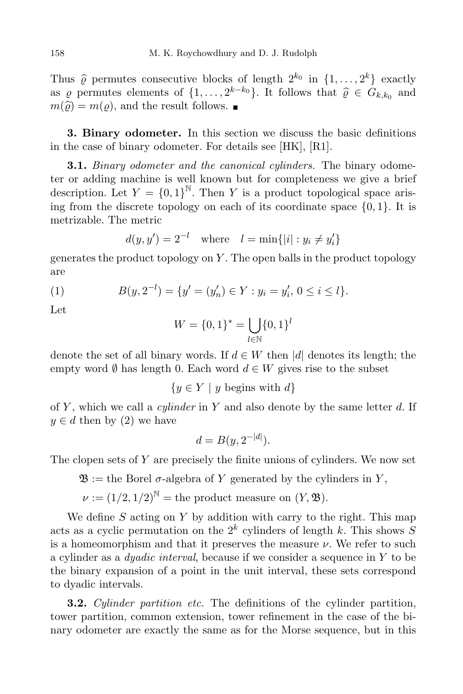Thus  $\hat{\varrho}$  permutes consecutive blocks of length  $2^{k_0}$  in  $\{1, \ldots, 2^k\}$  exactly as  $\varrho$  permutes elements of  $\{1, \ldots, 2^{k-k_0}\}$ . It follows that  $\widehat{\varrho} \in G_{k,k_0}$  and  $m(\hat{\rho}) = m(\rho)$ , and the result follows.

3. Binary odometer. In this section we discuss the basic definitions in the case of binary odometer. For details see [HK], [R1].

**3.1.** Binary odometer and the canonical cylinders. The binary odometer or adding machine is well known but for completeness we give a brief description. Let  $Y = \{0,1\}^{\mathbb{N}}$ . Then Y is a product topological space arising from the discrete topology on each of its coordinate space  $\{0, 1\}$ . It is metrizable. The metric

$$
d(y, y') = 2^{-l}
$$
 where  $l = \min\{|i| : y_i \neq y'_i\}$ 

generates the product topology on  $Y$ . The open balls in the product topology are

(1) 
$$
B(y, 2^{-l}) = \{y' = (y'_n) \in Y : y_i = y'_i, 0 \le i \le l\}.
$$

Let

$$
W = \{0, 1\}^* = \bigcup_{l \in \mathbb{N}} \{0, 1\}^l
$$

denote the set of all binary words. If  $d \in W$  then |d| denotes its length; the empty word  $\emptyset$  has length 0. Each word  $d \in W$  gives rise to the subset

 ${y \in Y \mid y \text{ begins with } d}$ 

of  $Y$ , which we call a *cylinder* in  $Y$  and also denote by the same letter  $d$ . If  $y \in d$  then by (2) we have

$$
d = B(y, 2^{-|d|}).
$$

The clopen sets of  $Y$  are precisely the finite unions of cylinders. We now set

 $\mathfrak{B} :=$  the Borel  $\sigma$ -algebra of Y generated by the cylinders in Y,

$$
\nu := (1/2, 1/2)^{\mathbb{N}} =
$$
 the product measure on  $(Y, \mathfrak{B})$ .

We define  $S$  acting on  $Y$  by addition with carry to the right. This map acts as a cyclic permutation on the  $2^k$  cylinders of length k. This shows S is a homeomorphism and that it preserves the measure  $\nu$ . We refer to such a cylinder as a *dyadic interval*, because if we consider a sequence in  $Y$  to be the binary expansion of a point in the unit interval, these sets correspond to dyadic intervals.

**3.2.** Cylinder partition etc. The definitions of the cylinder partition, tower partition, common extension, tower refinement in the case of the binary odometer are exactly the same as for the Morse sequence, but in this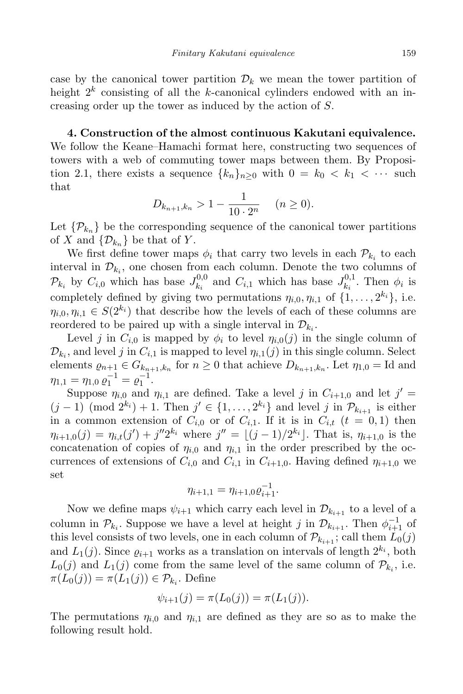case by the canonical tower partition  $\mathcal{D}_k$  we mean the tower partition of height  $2^k$  consisting of all the k-canonical cylinders endowed with an increasing order up the tower as induced by the action of S.

4. Construction of the almost continuous Kakutani equivalence. We follow the Keane–Hamachi format here, constructing two sequences of towers with a web of commuting tower maps between them. By Proposition 2.1, there exists a sequence  ${k_n}_{n\geq 0}$  with  $0 = k_0 < k_1 < \cdots$  such that

$$
D_{k_{n+1},k_n} > 1 - \frac{1}{10 \cdot 2^n} \quad (n \ge 0).
$$

Let  $\{\mathcal{P}_{k_n}\}\$  be the corresponding sequence of the canonical tower partitions of X and  $\{\mathcal{D}_{k_n}\}\)$  be that of Y.

We first define tower maps  $\phi_i$  that carry two levels in each  $\mathcal{P}_{k_i}$  to each interval in  $\mathcal{D}_{k_i}$ , one chosen from each column. Denote the two columns of  $\mathcal{P}_{k_i}$  by  $C_{i,0}$  which has base  $J_{k_i}^{0,0}$  $L_{k_i}^{0,0}$  and  $C_{i,1}$  which has base  $J_{k_i}^{0,1}$  $\kappa_i^{0,1}$ . Then  $\phi_i$  is completely defined by giving two permutations  $\eta_{i,0}, \eta_{i,1}$  of  $\{1, \ldots, 2^{k_i}\},$  i.e.  $\eta_{i,0}, \eta_{i,1} \in S(2^{k_i})$  that describe how the levels of each of these columns are reordered to be paired up with a single interval in  $\mathcal{D}_{k_i}$ .

Level j in  $C_{i,0}$  is mapped by  $\phi_i$  to level  $\eta_{i,0}(j)$  in the single column of  $\mathcal{D}_{k_i}$ , and level j in  $C_{i,1}$  is mapped to level  $\eta_{i,1}(j)$  in this single column. Select elements  $\varrho_{n+1} \in G_{k_{n+1},k_n}$  for  $n \geq 0$  that achieve  $D_{k_{n+1},k_n}$ . Let  $\eta_{1,0} = \text{Id}$  and  $\eta_{1,1} = \eta_{1,0} \varrho_1^{-1} = \varrho_1^{-1}.$ 

Suppose  $\eta_{i,0}$  and  $\eta_{i,1}$  are defined. Take a level j in  $C_{i+1,0}$  and let  $j' =$  $(j-1) \pmod{2^{k_i}} + 1$ . Then  $j' \in \{1, \ldots, 2^{k_i}\}\$ and level j in  $\mathcal{P}_{k_{i+1}}$  is either in a common extension of  $C_{i,0}$  or of  $C_{i,1}$ . If it is in  $C_{i,t}$   $(t = 0,1)$  then  $\eta_{i+1,0}(j) = \eta_{i,t}(j') + j''2^{k_i}$  where  $j'' = \lfloor (j-1)/2^{k_i} \rfloor$ . That is,  $\eta_{i+1,0}$  is the concatenation of copies of  $\eta_{i,0}$  and  $\eta_{i,1}$  in the order prescribed by the occurrences of extensions of  $C_{i,0}$  and  $C_{i,1}$  in  $C_{i+1,0}$ . Having defined  $\eta_{i+1,0}$  we set

$$
\eta_{i+1,1} = \eta_{i+1,0} \varrho_{i+1}^{-1}.
$$

Now we define maps  $\psi_{i+1}$  which carry each level in  $\mathcal{D}_{k_{i+1}}$  to a level of a column in  $\mathcal{P}_{k_i}$ . Suppose we have a level at height j in  $\mathcal{D}_{k_{i+1}}$ . Then  $\phi_{i+1}^{-1}$  of this level consists of two levels, one in each column of  $\mathcal{P}_{k_{i+1}}$ ; call them  $L_0(j)$ and  $L_1(j)$ . Since  $\varrho_{i+1}$  works as a translation on intervals of length  $2^{k_i}$ , both  $L_0(j)$  and  $L_1(j)$  come from the same level of the same column of  $\mathcal{P}_{k_i}$ , i.e.  $\pi(L_0(j)) = \pi(L_1(j)) \in \mathcal{P}_{k_i}$ . Define

$$
\psi_{i+1}(j) = \pi(L_0(j)) = \pi(L_1(j)).
$$

The permutations  $\eta_{i,0}$  and  $\eta_{i,1}$  are defined as they are so as to make the following result hold.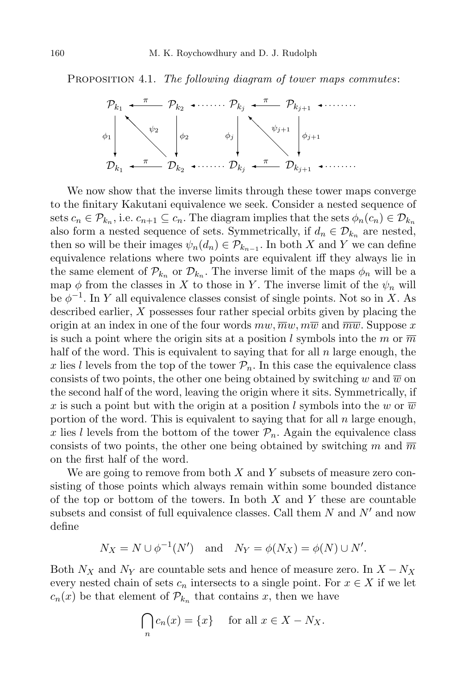PROPOSITION 4.1. The following diagram of tower maps commutes:



We now show that the inverse limits through these tower maps converge to the finitary Kakutani equivalence we seek. Consider a nested sequence of sets  $c_n \in \mathcal{P}_{k_n}$ , i.e.  $c_{n+1} \subseteq c_n$ . The diagram implies that the sets  $\phi_n(c_n) \in \mathcal{D}_{k_n}$ also form a nested sequence of sets. Symmetrically, if  $d_n \in \mathcal{D}_{k_n}$  are nested, then so will be their images  $\psi_n(d_n) \in \mathcal{P}_{k_{n-1}}$ . In both X and Y we can define equivalence relations where two points are equivalent iff they always lie in the same element of  $\mathcal{P}_{k_n}$  or  $\mathcal{D}_{k_n}$ . The inverse limit of the maps  $\phi_n$  will be a map  $\phi$  from the classes in X to those in Y. The inverse limit of the  $\psi_n$  will be  $\phi^{-1}$ . In Y all equivalence classes consist of single points. Not so in X. As described earlier,  $X$  possesses four rather special orbits given by placing the origin at an index in one of the four words  $mw, \overline{mw}, m\overline{w}$  and  $\overline{mw}$ . Suppose x is such a point where the origin sits at a position l symbols into the m or  $\overline{m}$ half of the word. This is equivalent to saying that for all  $n$  large enough, the x lies l levels from the top of the tower  $\mathcal{P}_n$ . In this case the equivalence class consists of two points, the other one being obtained by switching w and  $\overline{w}$  on the second half of the word, leaving the origin where it sits. Symmetrically, if x is such a point but with the origin at a position l symbols into the w or  $\overline{w}$ portion of the word. This is equivalent to saying that for all  $n$  large enough, x lies l levels from the bottom of the tower  $P_n$ . Again the equivalence class consists of two points, the other one being obtained by switching m and  $\overline{m}$ on the first half of the word.

We are going to remove from both  $X$  and  $Y$  subsets of measure zero consisting of those points which always remain within some bounded distance of the top or bottom of the towers. In both  $X$  and  $Y$  these are countable subsets and consist of full equivalence classes. Call them  $N$  and  $N'$  and now define

$$
N_X = N \cup \phi^{-1}(N') \quad \text{and} \quad N_Y = \phi(N_X) = \phi(N) \cup N'.
$$

Both  $N_X$  and  $N_Y$  are countable sets and hence of measure zero. In  $X - N_X$ every nested chain of sets  $c_n$  intersects to a single point. For  $x \in X$  if we let  $c_n(x)$  be that element of  $\mathcal{P}_{k_n}$  that contains x, then we have

$$
\bigcap_{n} c_n(x) = \{x\} \quad \text{ for all } x \in X - N_X.
$$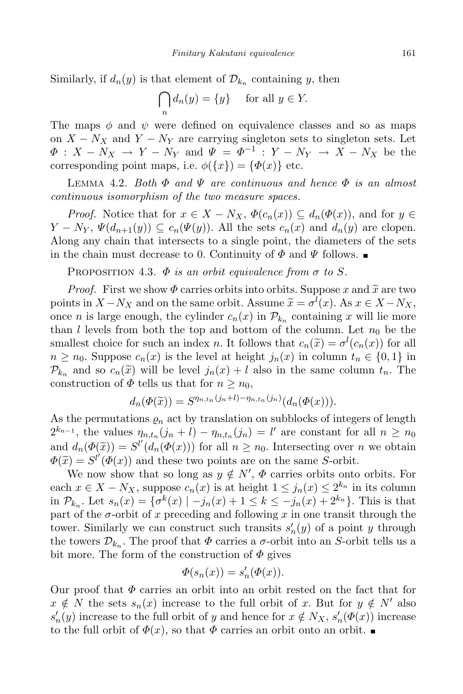Similarly, if  $d_n(y)$  is that element of  $\mathcal{D}_{k_n}$  containing y, then

$$
\bigcap_n d_n(y) = \{y\} \quad \text{ for all } y \in Y.
$$

The maps  $\phi$  and  $\psi$  were defined on equivalence classes and so as maps on  $X - N_X$  and  $Y - N_Y$  are carrying singleton sets to singleton sets. Let  $\Phi: X - N_X \to Y - N_Y$  and  $\Psi = \Phi^{-1}: Y - N_Y \to X - N_X$  be the corresponding point maps, i.e.  $\phi({x}) = {\phi(x)}$  etc.

LEMMA 4.2. Both  $\Phi$  and  $\Psi$  are continuous and hence  $\Phi$  is an almost continuous isomorphism of the two measure spaces.

*Proof.* Notice that for  $x \in X - N_X$ ,  $\Phi(c_n(x)) \subseteq d_n(\Phi(x))$ , and for  $y \in$  $Y - N_Y$ ,  $\Psi(d_{n+1}(y)) \subseteq c_n(\Psi(y))$ . All the sets  $c_n(x)$  and  $d_n(y)$  are clopen. Along any chain that intersects to a single point, the diameters of the sets in the chain must decrease to 0. Continuity of  $\Phi$  and  $\Psi$  follows.

PROPOSITION 4.3.  $\Phi$  is an orbit equivalence from  $\sigma$  to S.

*Proof.* First we show  $\Phi$  carries orbits into orbits. Suppose x and  $\tilde{x}$  are two points in  $X - N_X$  and on the same orbit. Assume  $\widetilde{x} = \sigma^l(x)$ . As  $x \in X - N_X$ , once *n* is large enough, the cylinder  $c_n(x)$  in  $\mathcal{P}_{k_n}$  containing x will lie more than l levels from both the top and bottom of the column. Let  $n_0$  be the smallest choice for such an index n. It follows that  $c_n(\tilde{x}) = \sigma^l(c_n(x))$  for all  $n \geq n_0$ . Suppose  $c_n(x)$  is the level at height  $j_n(x)$  in column  $t_n \in \{0,1\}$  in  $\mathcal{P}_{k_n}$  and so  $c_n(\tilde{x})$  will be level  $j_n(x) + l$  also in the same column  $t_n$ . The construction of  $\Phi$  tells us that for  $n \geq n_0$ ,

$$
d_n(\Phi(\widetilde{x})) = S^{\eta_{n,t_n}(j_n+l) - \eta_{n,t_n}(j_n)}(d_n(\Phi(x))).
$$

As the permutations  $\rho_n$  act by translation on subblocks of integers of length  $2^{k_{n-1}}$ , the values  $\eta_{n,t_n}(j_n + l) - \eta_{n,t_n}(j_n) = l'$  are constant for all  $n \geq n_0$ and  $d_n(\Phi(\tilde{x})) = S^{l'}(d_n(\Phi(x)))$  for all  $n \geq n_0$ . Intersecting over n we obtain  $\Phi(\widetilde{x}) = S^{l'}(\Phi(x))$  and these two points are on the same S-orbit.

We now show that so long as  $y \notin N'$ ,  $\Phi$  carries orbits onto orbits. For each  $x \in X - N_X$ , suppose  $c_n(x)$  is at height  $1 \leq j_n(x) \leq 2^{k_n}$  in its column in  $\mathcal{P}_{k_n}$ . Let  $s_n(x) = \{ \sigma^k(x) \mid -j_n(x) + 1 \leq k \leq -j_n(x) + 2^{k_n} \}$ . This is that part of the  $\sigma$ -orbit of x preceding and following x in one transit through the tower. Similarly we can construct such transits  $s'_n(y)$  of a point y through the towers  $\mathcal{D}_{k_n}$ . The proof that  $\Phi$  carries a  $\sigma$ -orbit into an S-orbit tells us a bit more. The form of the construction of  $\Phi$  gives

$$
\Phi(s_n(x)) = s_n'(\Phi(x)).
$$

Our proof that  $\Phi$  carries an orbit into an orbit rested on the fact that for  $x \notin N$  the sets  $s_n(x)$  increase to the full orbit of x. But for  $y \notin N'$  also  $s'_n(y)$  increase to the full orbit of y and hence for  $x \notin N_X$ ,  $s'_n(\Phi(x))$  increase to the full orbit of  $\Phi(x)$ , so that  $\Phi$  carries an orbit onto an orbit.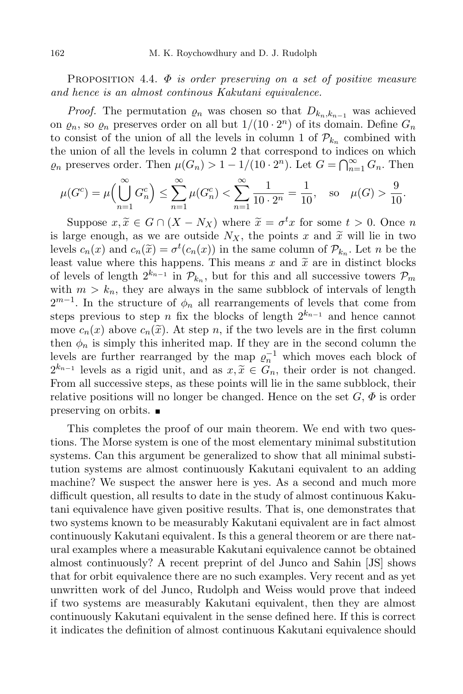PROPOSITION 4.4.  $\Phi$  is order preserving on a set of positive measure and hence is an almost continous Kakutani equivalence.

*Proof.* The permutation  $\varrho_n$  was chosen so that  $D_{k_n,k_{n-1}}$  was achieved on  $\varrho_n$ , so  $\varrho_n$  preserves order on all but  $1/(10 \cdot 2^n)$  of its domain. Define  $G_n$ to consist of the union of all the levels in column 1 of  $\mathcal{P}_{k_n}$  combined with the union of all the levels in column 2 that correspond to indices on which  $\varrho_n$  preserves order. Then  $\mu(G_n) > 1 - 1/(10 \cdot 2^n)$ . Let  $G = \bigcap_{n=1}^{\infty} G_n$ . Then

$$
\mu(G^{c}) = \mu\left(\bigcup_{n=1}^{\infty} G_{n}^{c}\right) \le \sum_{n=1}^{\infty} \mu(G_{n}^{c}) < \sum_{n=1}^{\infty} \frac{1}{10 \cdot 2^{n}} = \frac{1}{10}, \text{ so } \mu(G) > \frac{9}{10}.
$$

Suppose  $x, \tilde{x} \in G \cap (X - N_X)$  where  $\tilde{x} = \sigma^t x$  for some  $t > 0$ . Once n is large enough, as we are outside  $N_X$ , the points x and  $\tilde{x}$  will lie in two levels  $c_n(x)$  and  $c_n(\tilde{x}) = \sigma^t(c_n(x))$  in the same column of  $\mathcal{P}_{k_n}$ . Let n be the least value where this happens. This means x and  $\tilde{x}$  are in distinct blocks of levels of length  $2^{k_{n-1}}$  in  $\mathcal{P}_{k_n}$ , but for this and all successive towers  $\mathcal{P}_m$ with  $m > k_n$ , they are always in the same subblock of intervals of length  $2^{m-1}$ . In the structure of  $\phi_n$  all rearrangements of levels that come from steps previous to step n fix the blocks of length  $2^{k_{n-1}}$  and hence cannot move  $c_n(x)$  above  $c_n(\tilde{x})$ . At step n, if the two levels are in the first column then  $\phi_n$  is simply this inherited map. If they are in the second column the levels are further rearranged by the map  $\varrho_n^{-1}$  which moves each block of  $2^{k_{n-1}}$  levels as a rigid unit, and as  $x, \tilde{x} \in G_n$ , their order is not changed. From all successive steps, as these points will lie in the same subblock, their relative positions will no longer be changed. Hence on the set  $G, \Phi$  is order preserving on orbits.

This completes the proof of our main theorem. We end with two questions. The Morse system is one of the most elementary minimal substitution systems. Can this argument be generalized to show that all minimal substitution systems are almost continuously Kakutani equivalent to an adding machine? We suspect the answer here is yes. As a second and much more difficult question, all results to date in the study of almost continuous Kakutani equivalence have given positive results. That is, one demonstrates that two systems known to be measurably Kakutani equivalent are in fact almost continuously Kakutani equivalent. Is this a general theorem or are there natural examples where a measurable Kakutani equivalence cannot be obtained almost continuously? A recent preprint of del Junco and Sahin [JS] shows that for orbit equivalence there are no such examples. Very recent and as yet unwritten work of del Junco, Rudolph and Weiss would prove that indeed if two systems are measurably Kakutani equivalent, then they are almost continuously Kakutani equivalent in the sense defined here. If this is correct it indicates the definition of almost continuous Kakutani equivalence should